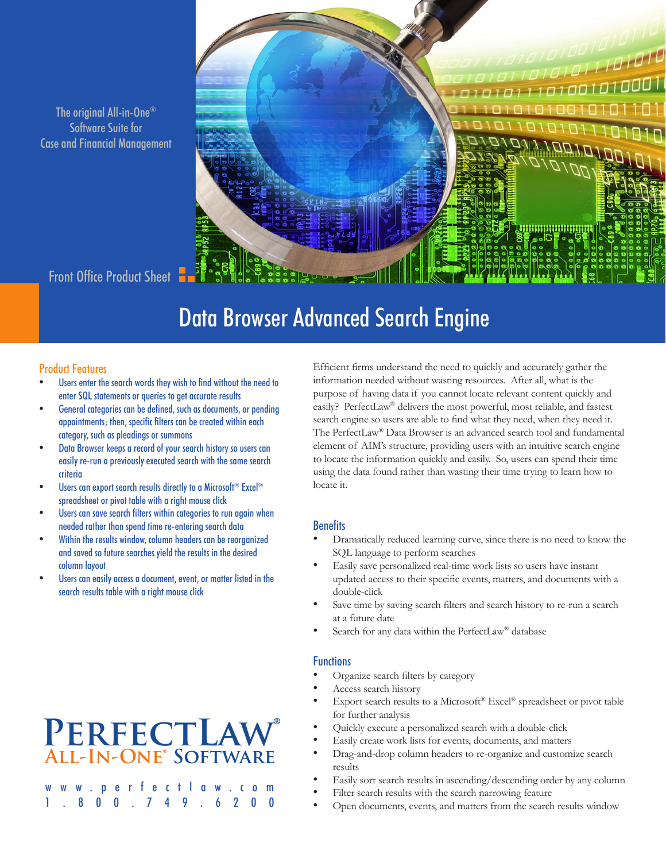The original All-in-One® Software Suite for Case and Financial Management

# ונסוסרומי<br>ב

### Front Office Product Sheet

# Data Browser Advanced Search Engine

### Product Features

- Users enter the search words they wish to find without the need to enter SQL statements or queries to get accurate results
- General categories can be defined, such as documents, or pending appointments; then, specific filters can be created within each category, such as pleadings or summons
- Data Browser keeps a record of your search history so users can easily re-run a previously executed search with the same search criteria
- Users can export search results directly to a Microsoft® Excel® spreadsheet or pivot table with a right mouse click
- Users can save search filters within categories to run again when needed rather than spend time re-entering search data
- Within the results window, column headers can be reorganized and saved so future searches yield the results in the desired column layout
- Users can easily access a document, event, or matter listed in the search results table with a right mouse click

## **PerfectLaw® All-In-One® Software**

where the control of the control of the control of the control of the control of the control of the control of  $1.800.749$ 

Efficient firms understand the need to quickly and accurately gather the information needed without wasting resources. After all, what is the purpose of having data if you cannot locate relevant content quickly and easily? PerfectLaw® delivers the most powerful, most reliable, and fastest search engine so users are able to find what they need, when they need it. The PerfectLaw® Data Browser is an advanced search tool and fundamental element of AIM's structure, providing users with an intuitive search engine to locate the information quickly and easily. So, users can spend their time using the data found rather than wasting their time trying to learn how to locate it.

### **Benefits**

- Dramatically reduced learning curve, since there is no need to know the SQL language to perform searches
- Easily save personalized real-time work lists so users have instant updated access to their specific events, matters, and documents with a double-click
- Save time by saving search filters and search history to re-run a search at a future date
- Search for any data within the PerfectLaw® database

### **Functions**

- Organize search filters by category
- Access search history
- Export search results to a Microsoft® Excel® spreadsheet or pivot table for further analysis
- Quickly execute a personalized search with a double-click
- Easily create work lists for events, documents, and matters
- Drag-and-drop column headers to re-organize and customize search results
- Easily sort search results in ascending/descending order by any column
- Filter search results with the search narrowing feature
- Open documents, events, and matters from the search results window